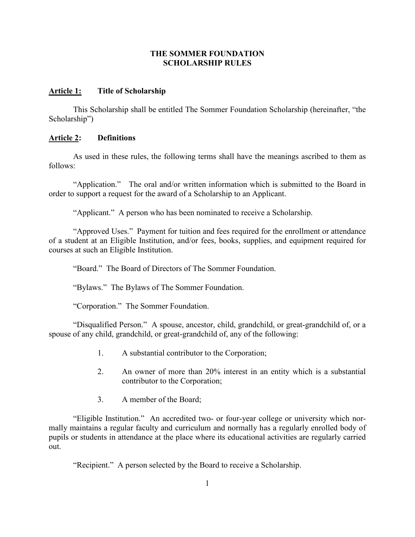## **THE SOMMER FOUNDATION SCHOLARSHIP RULES**

## **Article 1: Title of Scholarship**

This Scholarship shall be entitled The Sommer Foundation Scholarship (hereinafter, "the Scholarship")

# **Article 2: Definitions**

As used in these rules, the following terms shall have the meanings ascribed to them as follows:

"Application." The oral and/or written information which is submitted to the Board in order to support a request for the award of a Scholarship to an Applicant.

"Applicant." A person who has been nominated to receive a Scholarship.

"Approved Uses." Payment for tuition and fees required for the enrollment or attendance of a student at an Eligible Institution, and/or fees, books, supplies, and equipment required for courses at such an Eligible Institution.

"Board." The Board of Directors of The Sommer Foundation.

"Bylaws." The Bylaws of The Sommer Foundation.

"Corporation." The Sommer Foundation.

"Disqualified Person." A spouse, ancestor, child, grandchild, or great-grandchild of, or a spouse of any child, grandchild, or great-grandchild of, any of the following:

- 1. A substantial contributor to the Corporation;
- 2. An owner of more than 20% interest in an entity which is a substantial contributor to the Corporation;
- 3. A member of the Board;

"Eligible Institution." An accredited two- or four-year college or university which normally maintains a regular faculty and curriculum and normally has a regularly enrolled body of pupils or students in attendance at the place where its educational activities are regularly carried out.

"Recipient." A person selected by the Board to receive a Scholarship.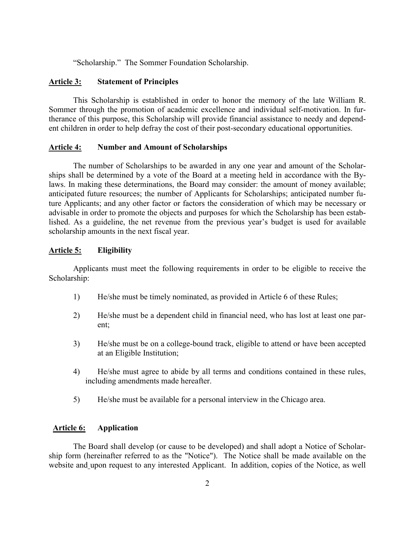"Scholarship." The Sommer Foundation Scholarship.

## **Article 3: Statement of Principles**

This Scholarship is established in order to honor the memory of the late William R. Sommer through the promotion of academic excellence and individual self-motivation. In furtherance of this purpose, this Scholarship will provide financial assistance to needy and dependent children in order to help defray the cost of their post-secondary educational opportunities.

### **Article 4: Number and Amount of Scholarships**

The number of Scholarships to be awarded in any one year and amount of the Scholarships shall be determined by a vote of the Board at a meeting held in accordance with the Bylaws. In making these determinations, the Board may consider: the amount of money available; anticipated future resources; the number of Applicants for Scholarships; anticipated number future Applicants; and any other factor or factors the consideration of which may be necessary or advisable in order to promote the objects and purposes for which the Scholarship has been established. As a guideline, the net revenue from the previous year's budget is used for available scholarship amounts in the next fiscal year.

### **Article 5: Eligibility**

Applicants must meet the following requirements in order to be eligible to receive the Scholarship:

- 1) He/she must be timely nominated, as provided in Article 6 of these Rules;
- 2) He/she must be a dependent child in financial need, who has lost at least one parent;
- 3) He/she must be on a college-bound track, eligible to attend or have been accepted at an Eligible Institution;
- 4) He/she must agree to abide by all terms and conditions contained in these rules, including amendments made hereafter.
- 5) He/she must be available for a personal interview in the Chicago area.

#### **Article 6: Application**

The Board shall develop (or cause to be developed) and shall adopt a Notice of Scholarship form (hereinafter referred to as the "Notice"). The Notice shall be made available on the website and upon request to any interested Applicant. In addition, copies of the Notice, as well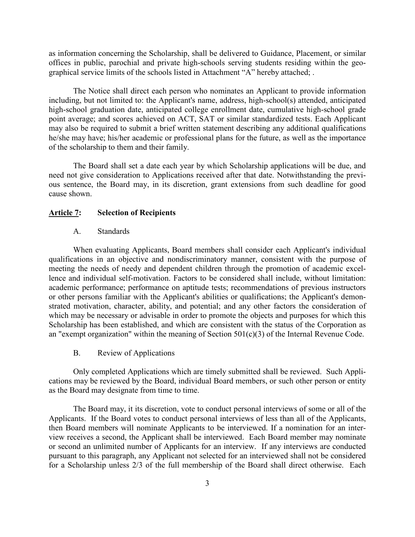as information concerning the Scholarship, shall be delivered to Guidance, Placement, or similar offices in public, parochial and private high-schools serving students residing within the geographical service limits of the schools listed in Attachment "A" hereby attached; .

The Notice shall direct each person who nominates an Applicant to provide information including, but not limited to: the Applicant's name, address, high-school(s) attended, anticipated high-school graduation date, anticipated college enrollment date, cumulative high-school grade point average; and scores achieved on ACT, SAT or similar standardized tests. Each Applicant may also be required to submit a brief written statement describing any additional qualifications he/she may have; his/her academic or professional plans for the future, as well as the importance of the scholarship to them and their family.

The Board shall set a date each year by which Scholarship applications will be due, and need not give consideration to Applications received after that date. Notwithstanding the previous sentence, the Board may, in its discretion, grant extensions from such deadline for good cause shown.

### **Article 7: Selection of Recipients**

#### A. Standards

When evaluating Applicants, Board members shall consider each Applicant's individual qualifications in an objective and nondiscriminatory manner, consistent with the purpose of meeting the needs of needy and dependent children through the promotion of academic excellence and individual self-motivation. Factors to be considered shall include, without limitation: academic performance; performance on aptitude tests; recommendations of previous instructors or other persons familiar with the Applicant's abilities or qualifications; the Applicant's demonstrated motivation, character, ability, and potential; and any other factors the consideration of which may be necessary or advisable in order to promote the objects and purposes for which this Scholarship has been established, and which are consistent with the status of the Corporation as an "exempt organization" within the meaning of Section 501(c)(3) of the Internal Revenue Code.

B. Review of Applications

Only completed Applications which are timely submitted shall be reviewed. Such Applications may be reviewed by the Board, individual Board members, or such other person or entity as the Board may designate from time to time.

The Board may, it its discretion, vote to conduct personal interviews of some or all of the Applicants. If the Board votes to conduct personal interviews of less than all of the Applicants, then Board members will nominate Applicants to be interviewed. If a nomination for an interview receives a second, the Applicant shall be interviewed. Each Board member may nominate or second an unlimited number of Applicants for an interview. If any interviews are conducted pursuant to this paragraph, any Applicant not selected for an interviewed shall not be considered for a Scholarship unless 2/3 of the full membership of the Board shall direct otherwise. Each